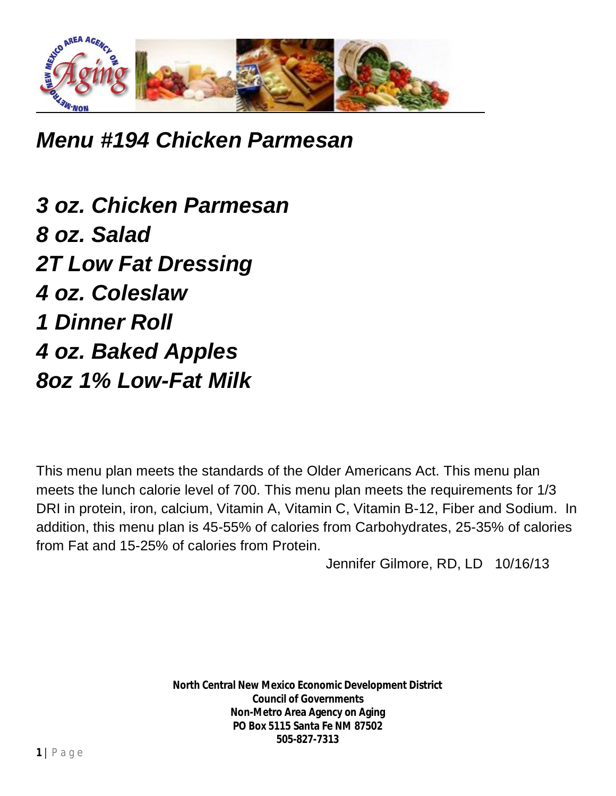

*Menu #194 Chicken Parmesan*

*3 oz. Chicken Parmesan 8 oz. Salad 2T Low Fat Dressing 4 oz. Coleslaw 1 Dinner Roll 4 oz. Baked Apples 8oz 1% Low-Fat Milk*

This menu plan meets the standards of the Older Americans Act. This menu plan meets the lunch calorie level of 700. This menu plan meets the requirements for 1/3 DRI in protein, iron, calcium, Vitamin A, Vitamin C, Vitamin B-12, Fiber and Sodium. In addition, this menu plan is 45-55% of calories from Carbohydrates, 25-35% of calories from Fat and 15-25% of calories from Protein.

Jennifer Gilmore, RD, LD 10/16/13

**North Central New Mexico Economic Development District Council of Governments Non-Metro Area Agency on Aging PO Box 5115 Santa Fe NM 87502 505-827-7313**